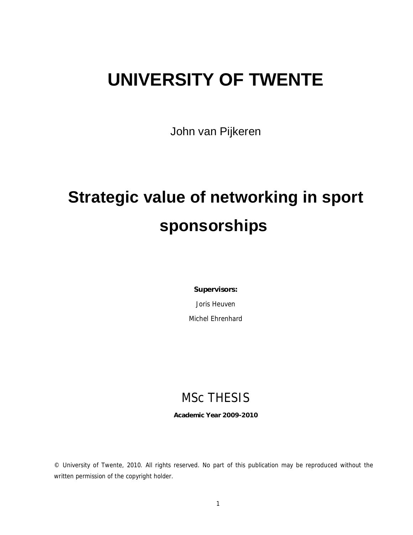# **UNIVERSITY OF TWENTE**

John van Pijkeren

# **Strategic value of networking in sport sponsorships**

**Supervisors:** 

Joris Heuven

Michel Ehrenhard

# MSc THESIS

**Academic Year 2009-2010** 

© University of Twente, 2010. All rights reserved. No part of this publication may be reproduced without the written permission of the copyright holder.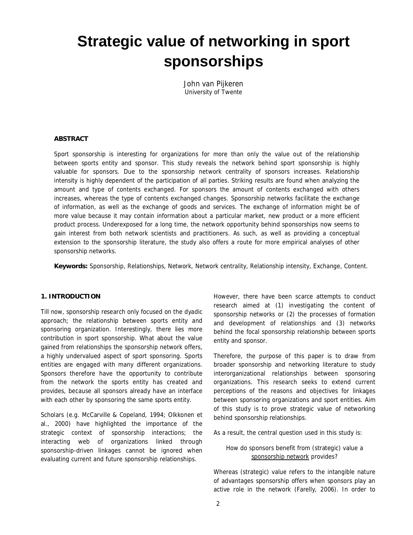# **Strategic value of networking in sport sponsorships**

John van Pijkeren *University of Twente*

#### **ABSTRACT**

Sport sponsorship is interesting for organizations for more than only the value out of the relationship between sports entity and sponsor. This study reveals the network behind sport sponsorship is highly valuable for sponsors. Due to the sponsorship network centrality of sponsors increases. Relationship intensity is highly dependent of the participation of all parties. Striking results are found when analyzing the amount and type of contents exchanged. For sponsors the amount of contents exchanged with others increases, whereas the type of contents exchanged changes. Sponsorship networks facilitate the exchange of information, as well as the exchange of goods and services. The exchange of information might be of more value because it may contain information about a particular market, new product or a more efficient product process. Underexposed for a long time, the network opportunity behind sponsorships now seems to gain interest from both network scientists and practitioners. As such, as well as providing a conceptual extension to the sponsorship literature, the study also offers a route for more empirical analyses of other sponsorship networks.

**Keywords:** Sponsorship, Relationships, Network, Network centrality, Relationship intensity, Exchange, Content.

### **1. INTRODUCTION**

Till now, sponsorship research only focused on the dyadic approach; the relationship between sports entity and sponsoring organization. Interestingly, there lies more contribution in sport sponsorship. What about the value gained from relationships the sponsorship network offers, a highly undervalued aspect of sport sponsoring. Sports entities are engaged with many different organizations. Sponsors therefore have the opportunity to contribute from the network the sports entity has created and provides, because all sponsors already have an interface with each other by sponsoring the same sports entity.

Scholars (e.g. McCarville & Copeland, 1994; Olkkonen *et al.*, 2000) have highlighted the importance of the strategic context of sponsorship interactions; the interacting web of organizations linked through sponsorship-driven linkages cannot be ignored when evaluating current and future sponsorship relationships.

However, there have been scarce attempts to conduct research aimed at (1) investigating the content of sponsorship networks or (2) the processes of formation and development of relationships and (3) networks behind the focal sponsorship relationship between sports entity and sponsor.

Therefore, the purpose of this paper is to draw from broader sponsorship and networking literature to study interorganizational relationships between sponsoring organizations. This research seeks to extend current perceptions of the reasons and objectives for linkages between sponsoring organizations and sport entities. Aim of this study is to prove strategic value of networking behind sponsorship relationships.

As a result, the central question used in this study is:

# *How do sponsors benefit from (strategic) value a sponsorship network provides?*

Whereas (strategic) value refers to the intangible nature of advantages sponsorship offers when sponsors play an active role in the network (Farelly, 2006). In order to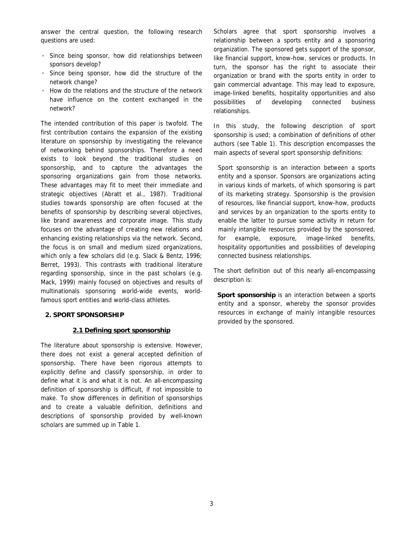answer the central question, the following research questions are used:

- Since being sponsor, how did relationships between sponsors develop?
- Since being sponsor, how did the structure of the network change?
- How do the relations and the structure of the network have influence on the content exchanged in the network?

The intended contribution of this paper is twofold. The first contribution contains the expansion of the existing literature on sponsorship by investigating the relevance of networking behind sponsorships. Therefore a need exists to look beyond the traditional studies on sponsorship, and to capture the advantages the sponsoring organizations gain from those networks. These advantages may fit to meet their immediate and strategic objectives (Abratt *et al.*, 1987). Traditional studies towards sponsorship are often focused at the benefits of sponsorship by describing several objectives, like brand awareness and corporate image. This study focuses on the advantage of creating new relations and enhancing existing relationships via the network. Second, the focus is on small and medium sized organizations, which only a few scholars did (e.g. Slack & Bentz, 1996; Berret, 1993). This contrasts with traditional literature regarding sponsorship, since in the past scholars (e.g. Mack, 1999) mainly focused on objectives and results of multinationals sponsoring world-wide events, worldfamous sport entities and world-class athletes.

#### **2. SPORT SPONSORSHIP**

#### **2.1 Defining sport sponsorship**

The literature about sponsorship is extensive. However, there does not exist a general accepted definition of sponsorship. There have been rigorous attempts to explicitly define and classify sponsorship, in order to define what it is and what it is not. An all-encompassing definition of sponsorship is difficult, if not impossible to make. To show differences in definition of sponsorships and to create a valuable definition, definitions and descriptions of sponsorship provided by well-known scholars are summed up in Table 1.

Scholars agree that sport sponsorship involves a relationship between a sports entity and a sponsoring organization. The sponsored gets support of the sponsor, like financial support, know-how, services or products. In turn, the sponsor has the right to associate their organization or brand with the sports entity in order to gain commercial advantage. This may lead to exposure, image-linked benefits, hospitality opportunities and also possibilities of developing connected business relationships.

In this study, the following description of sport sponsorship is used; a combination of definitions of other authors (see Table 1). This description encompasses the main aspects of several sport sponsorship definitions:

Sport sponsorship is an interaction between a sports entity and a sponsor. Sponsors are organizations acting in various kinds of markets, of which sponsoring is part of its marketing strategy. Sponsorship is the provision of resources, like financial support, know-how, products and services by an organization to the sports entity to enable the latter to pursue some activity in return for mainly intangible resources provided by the sponsored, for example, exposure, image-linked benefits, hospitality opportunities and possibilities of developing connected business relationships.

The short definition out of this nearly all-encompassing description is:

*Sport sponsorship is an interaction between a sports entity and a sponsor, whereby the sponsor provides resources in exchange of mainly intangible resources provided by the sponsored.*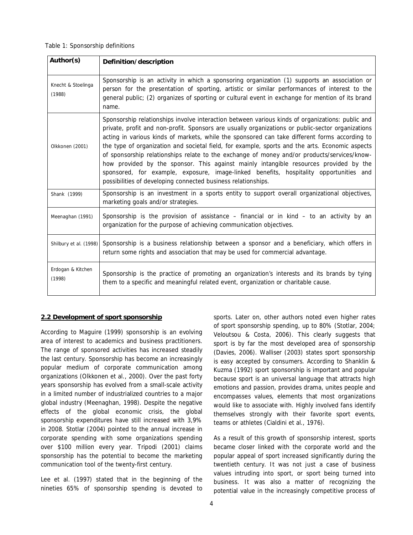Table 1: Sponsorship definitions

| Author(s)                    | Definition/description                                                                                                                                                                                                                                                                                                                                                                                                                                                                                                                                                                                                                                                                                                                                       |
|------------------------------|--------------------------------------------------------------------------------------------------------------------------------------------------------------------------------------------------------------------------------------------------------------------------------------------------------------------------------------------------------------------------------------------------------------------------------------------------------------------------------------------------------------------------------------------------------------------------------------------------------------------------------------------------------------------------------------------------------------------------------------------------------------|
| Knecht & Stoelinga<br>(1988) | Sponsorship is an activity in which a sponsoring organization (1) supports an association or<br>person for the presentation of sporting, artistic or similar performances of interest to the<br>general public; (2) organizes of sporting or cultural event in exchange for mention of its brand<br>name.                                                                                                                                                                                                                                                                                                                                                                                                                                                    |
| Olkkonen (2001)              | Sponsorship relationships involve interaction between various kinds of organizations: public and<br>private, profit and non-profit. Sponsors are usually organizations or public-sector organizations<br>acting in various kinds of markets, while the sponsored can take different forms according to<br>the type of organization and societal field, for example, sports and the arts. Economic aspects<br>of sponsorship relationships relate to the exchange of money and/or products/services/know-<br>how provided by the sponsor. This against mainly intangible resources provided by the<br>sponsored, for example, exposure, image-linked benefits, hospitality opportunities and<br>possibilities of developing connected business relationships. |
| Shank (1999)                 | Sponsorship is an investment in a sports entity to support overall organizational objectives,<br>marketing goals and/or strategies.                                                                                                                                                                                                                                                                                                                                                                                                                                                                                                                                                                                                                          |
| Meenaghan (1991)             | Sponsorship is the provision of assistance $-$ financial or in kind $-$ to an activity by an<br>organization for the purpose of achieving communication objectives.                                                                                                                                                                                                                                                                                                                                                                                                                                                                                                                                                                                          |
| Shilbury et al. (1998)       | Sponsorship is a business relationship between a sponsor and a beneficiary, which offers in<br>return some rights and association that may be used for commercial advantage.                                                                                                                                                                                                                                                                                                                                                                                                                                                                                                                                                                                 |
| Erdogan & Kitchen<br>(1998)  | Sponsorship is the practice of promoting an organization's interests and its brands by tying<br>them to a specific and meaningful related event, organization or charitable cause.                                                                                                                                                                                                                                                                                                                                                                                                                                                                                                                                                                           |

# **2.2 Development of sport sponsorship**

According to Maguire (1999) sponsorship is an evolving area of interest to academics and business practitioners. The range of sponsored activities has increased steadily the last century. Sponsorship has become an increasingly popular medium of corporate communication among organizations (Olkkonen *et al.*, 2000). Over the past forty years sponsorship has evolved from a small-scale activity in a limited number of industrialized countries to a major global industry (Meenaghan, 1998). Despite the negative effects of the global economic crisis, the global sponsorship expenditures have still increased with 3,9% in 2008. Stotlar (2004) pointed to the annual increase in corporate spending with some organizations spending over \$100 million every year. Tripodi (2001) claims sponsorship has the potential to become the marketing communication tool of the twenty-first century.

Lee *et al.* (1997) stated that in the beginning of the nineties 65% of sponsorship spending is devoted to sports. Later on, other authors noted even higher rates of sport sponsorship spending, up to 80% (Stotlar, 2004; Veloutsou & Costa, 2006). This clearly suggests that sport is by far the most developed area of sponsorship (Davies, 2006). Walliser (2003) states sport sponsorship is easy accepted by consumers. According to Shanklin & Kuzma (1992) sport sponsorship is important and popular because sport is an universal language that attracts high emotions and passion, provides drama, unites people and encompasses values, elements that most organizations would like to associate with. Highly involved fans identify themselves strongly with their favorite sport events, teams or athletes (Cialdini *et al.*, 1976).

As a result of this growth of sponsorship interest, sports became closer linked with the corporate world and the popular appeal of sport increased significantly during the twentieth century. It was not just a case of business values intruding into sport, or sport being turned into business. It was also a matter of recognizing the potential value in the increasingly competitive process of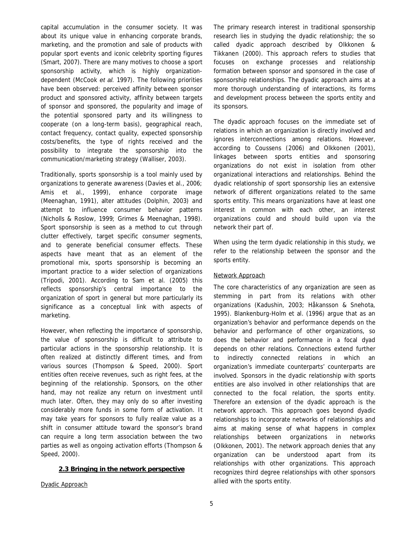capital accumulation in the consumer society. It was about its unique value in enhancing corporate brands, marketing, and the promotion and sale of products with popular sport events and iconic celebrity sporting figures (Smart, 2007). There are many motives to choose a sport sponsorship activity, which is highly organizationdependent (McCook *et al.* 1997). The following priorities have been observed: perceived affinity between sponsor product and sponsored activity, affinity between targets of sponsor and sponsored, the popularity and image of the potential sponsored party and its willingness to cooperate (on a long-term basis), geographical reach, contact frequency, contact quality, expected sponsorship costs/benefits, the type of rights received and the possibility to integrate the sponsorship into the communication/marketing strategy (Walliser, 2003).

Traditionally, sports sponsorship is a tool mainly used by organizations to generate awareness (Davies *et al.*, 2006; Amis *et al.*, 1999), enhance corporate image (Meenaghan, 1991), alter attitudes (Dolphin, 2003) and attempt to influence consumer behavior patterns (Nicholls & Roslow, 1999; Grimes & Meenaghan, 1998). Sport sponsorship is seen as a method to cut through clutter effectively, target specific consumer segments, and to generate beneficial consumer effects. These aspects have meant that as an element of the promotional mix, sports sponsorship is becoming an important practice to a wider selection of organizations (Tripodi, 2001). According to Sam *et al.* (2005) this reflects sponsorship's central importance to the organization of sport in general but more particularly its significance as a conceptual link with aspects of marketing.

However, when reflecting the importance of sponsorship, the value of sponsorship is difficult to attribute to particular actions in the sponsorship relationship. It is often realized at distinctly different times, and from various sources (Thompson & Speed, 2000). Sport entities often receive revenues, such as right fees, at the beginning of the relationship. Sponsors, on the other hand, may not realize any return on investment until much later. Often, they may only do so after investing considerably more funds in some form of activation. It may take years for sponsors to fully realize value as a shift in consumer attitude toward the sponsor's brand can require a long term association between the two parties as well as ongoing activation efforts (Thompson & Speed, 2000).

#### **2.3 Bringing in the network perspective**

Dyadic Approach

The primary research interest in traditional sponsorship research lies in studying the dyadic relationship; the so called dyadic approach described by Olkkonen & Tikkanen (2000). This approach refers to studies that focuses on exchange processes and relationship formation between sponsor and sponsored in the case of sponsorship relationships. The dyadic approach aims at a more thorough understanding of interactions, its forms and development process between the sports entity and its sponsors.

The dyadic approach focuses on the immediate set of relations in which an organization is directly involved and ignores interconnections among relations. However, according to Coussens (2006) and Olkkonen (2001), linkages between sports entities and sponsoring organizations do not exist in isolation from other organizational interactions and relationships. Behind the dyadic relationship of sport sponsorship lies an extensive network of different organizations related to the same sports entity. This means organizations have at least one interest in common with each other, an interest organizations could and should build upon via the network their part of.

When using the term dyadic relationship in this study, we refer to the relationship between the sponsor and the sports entity.

#### Network Approach

The core characteristics of any organization are seen as stemming in part from its relations with other organizations (Kadushin, 2003; Håkansson & Snehota, 1995). Blankenburg-Holm *et al.* (1996) argue that as an organization's behavior and performance depends on the behavior and performance of other organizations, so does the behavior and performance in a focal dyad depends on other relations. Connections extend further to indirectly connected relations in which an organization's immediate counterparts' counterparts are involved. Sponsors in the dyadic relationship with sports entities are also involved in other relationships that are connected to the focal relation, the sports entity. Therefore an extension of the dyadic approach is the network approach. This approach goes beyond dyadic relationships to incorporate networks of relationships and aims at making sense of what happens in complex relationships between organizations in networks (Olkkonen, 2001). The network approach denies that any organization can be understood apart from its relationships with other organizations. This approach recognizes third degree relationships with other sponsors allied with the sports entity.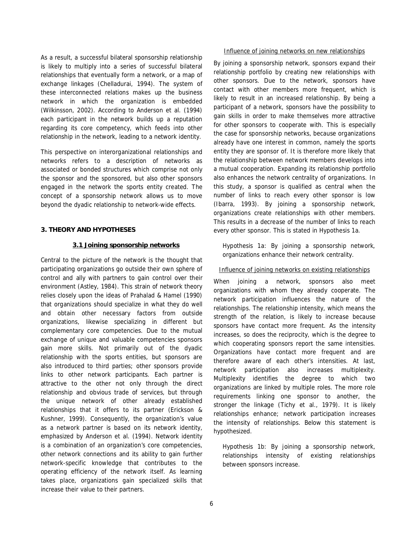As a result, a successful bilateral sponsorship relationship is likely to multiply into a series of successful bilateral relationships that eventually form a network, or a map of exchange linkages (Chelladurai, 1994). The system of these interconnected relations makes up the business network in which the organization is embedded (Wilkinsson, 2002). According to Anderson *et al.* (1994) each participant in the network builds up a reputation regarding its core competency, which feeds into other relationship in the network, leading to a network identity.

This perspective on interorganizational relationships and networks refers to a description of networks as associated or bonded structures which comprise not only the sponsor and the sponsored, but also other sponsors engaged in the network the sports entity created. The concept of a sponsorship network allows us to move beyond the dyadic relationship to network-wide effects.

### **3. THEORY AND HYPOTHESES**

#### **3.1 Joining sponsorship networks**

Central to the picture of the network is the thought that participating organizations go outside their own sphere of control and ally with partners to gain control over their environment (Astley, 1984). This strain of network theory relies closely upon the ideas of Prahalad & Hamel (1990) that organizations should specialize in what they do well and obtain other necessary factors from outside organizations, likewise specializing in different but complementary core competencies. Due to the mutual exchange of unique and valuable competencies sponsors gain more skills. Not primarily out of the dyadic relationship with the sports entities, but sponsors are also introduced to third parties; other sponsors provide links to other network participants. Each partner is attractive to the other not only through the direct relationship and obvious trade of services, but through the unique network of other already established relationships that it offers to its partner (Erickson & Kushner, 1999). Consequently, the organization's value as a network partner is based on its network identity, emphasized by Anderson *et al.* (1994). Network identity is a combination of an organization's core competencies, other network connections and its ability to gain further network-specific knowledge that contributes to the operating efficiency of the network itself. As learning takes place, organizations gain specialized skills that increase their value to their partners.

#### Influence of joining networks on new relationships

By joining a sponsorship network, sponsors expand their relationship portfolio by creating new relationships with other sponsors. Due to the network, sponsors have contact with other members more frequent, which is likely to result in an increased relationship. By being a participant of a network, sponsors have the possibility to gain skills in order to make themselves more attractive for other sponsors to cooperate with. This is especially the case for sponsorship networks, because organizations already have one interest in common, namely the sports entity they are sponsor of. It is therefore more likely that the relationship between network members develops into a mutual cooperation. Expanding its relationship portfolio also enhances the network centrality of organizations. In this study, a sponsor is qualified as central when the number of links to reach every other sponsor is low (Ibarra, 1993). By joining a sponsorship network, organizations create relationships with other members. This results in a decrease of the number of links to reach every other sponsor. This is stated in Hypothesis 1a.

*Hypothesis 1a: By joining a sponsorship network, organizations enhance their network centrality.* 

#### Influence of joining networks on existing relationships

When joining a network, sponsors also meet organizations with whom they already cooperate. The network participation influences the nature of the relationships. The relationship intensity, which means the strength of the relation, is likely to increase because sponsors have contact more frequent. As the intensity increases, so does the reciprocity, which is the degree to which cooperating sponsors report the same intensities. Organizations have contact more frequent and are therefore aware of each other's intensities. At last, network participation also increases multiplexity. Multiplexity identifies the degree to which two organizations are linked by multiple roles. The more role requirements linking one sponsor to another, the stronger the linkage (Tichy *et al.*, 1979). It is likely relationships enhance; network participation increases the intensity of relationships. Below this statement is hypothesized.

*Hypothesis 1b: By joining a sponsorship network, relationships intensity of existing relationships between sponsors increase.*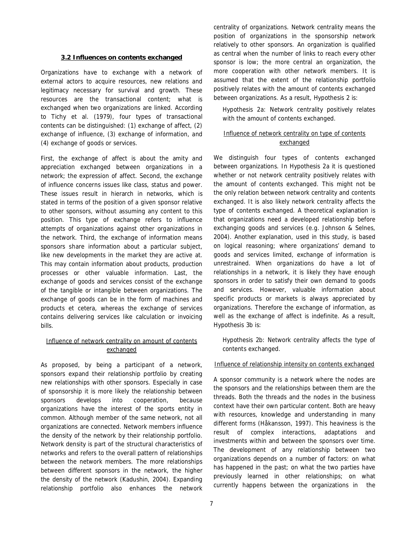#### **3.2 Influences on contents exchanged**

Organizations have to exchange with a network of external actors to acquire resources, new relations and legitimacy necessary for survival and growth. These resources are the transactional content; what is exchanged when two organizations are linked. According to Tichy *et al.* (1979), four types of transactional contents can be distinguished: (1) exchange of affect, (2) exchange of influence, (3) exchange of information, and (4) exchange of goods or services.

First, the exchange of affect is about the amity and appreciation exchanged between organizations in a network; the expression of affect. Second, the exchange of influence concerns issues like class, status and power. These issues result in hierarch in networks, which is stated in terms of the position of a given sponsor relative to other sponsors, without assuming any content to this position. This type of exchange refers to influence attempts of organizations against other organizations in the network. Third, the exchange of information means sponsors share information about a particular subject, like new developments in the market they are active at. This may contain information about products, production processes or other valuable information. Last, the exchange of goods and services consist of the exchange of the tangible or intangible between organizations. The exchange of goods can be in the form of machines and products et cetera, whereas the exchange of services contains delivering services like calculation or invoicing bills.

# Influence of network centrality on amount of contents exchanged

As proposed, by being a participant of a network, sponsors expand their relationship portfolio by creating new relationships with other sponsors. Especially in case of sponsorship it is more likely the relationship between sponsors develops into cooperation, because organizations have the interest of the sports entity in common. Although member of the same network, not all organizations are connected. Network members influence the density of the network by their relationship portfolio. Network density is part of the structural characteristics of networks and refers to the overall pattern of relationships between the network members. The more relationships between different sponsors in the network, the higher the density of the network (Kadushin, 2004). Expanding relationship portfolio also enhances the network

centrality of organizations. Network centrality means the position of organizations in the sponsorship network relatively to other sponsors. An organization is qualified as central when the number of links to reach every other sponsor is low; the more central an organization, the more cooperation with other network members. It is assumed that the extent of the relationship portfolio positively relates with the amount of contents exchanged between organizations. As a result, Hypothesis 2 is:

*Hypothesis 2a: Network centrality positively relates with the amount of contents exchanged.* 

# Influence of network centrality on type of contents exchanged

We distinguish four types of contents exchanged between organizations. In Hypothesis 2a it is questioned whether or not network centrality positively relates with the amount of contents exchanged. This might not be the only relation between network centrality and contents exchanged. It is also likely network centrality affects the type of contents exchanged. A theoretical explanation is that organizations need a developed relationship before exchanging goods and services (e.g. Johnson & Selnes, 2004). Another explanation, used in this study, is based on logical reasoning; where organizations' demand to goods and services limited, exchange of information is unrestrained. When organizations do have a lot of relationships in a network, it is likely they have enough sponsors in order to satisfy their own demand to goods and services. However, valuable information about specific products or markets is always appreciated by organizations. Therefore the exchange of information, as well as the exchange of affect is indefinite. As a result, Hypothesis 3b is:

*Hypothesis 2b: Network centrality affects the type of contents exchanged.* 

# Influence of relationship intensity on contents exchanged

A sponsor community is a network where the nodes are the sponsors and the relationships between them are the threads. Both the threads and the nodes in the business context have their own particular content. Both are heavy with resources, knowledge and understanding in many different forms (Håkansson, 1997). This heaviness is the result of complex interactions, adaptations and investments within and between the sponsors over time. The development of any relationship between two organizations depends on a number of factors: on what has happened in the past; on what the two parties have previously learned in other relationships; on what currently happens between the organizations in the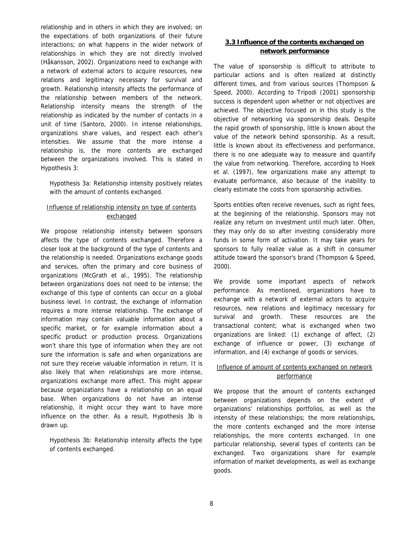relationship and in others in which they are involved; on the expectations of both organizations of their future interactions; on what happens in the wider network of relationships in which they are not directly involved (Håkansson, 2002). Organizations need to exchange with a network of external actors to acquire resources, new relations and legitimacy necessary for survival and growth. Relationship intensity affects the performance of the relationship between members of the network. Relationship intensity means the strength of the relationship as indicated by the number of contacts in a unit of time (Santoro, 2000). In intense relationships, organizations share values, and respect each other's intensities. We assume that the more intense a relationship is, the more contents are exchanged between the organizations involved. This is stated in Hypothesis 3:

*Hypothesis 3a: Relationship intensity positively relates with the amount of contents exchanged.* 

# Influence of relationship intensity on type of contents exchanged

We propose relationship intensity between sponsors affects the type of contents exchanged. Therefore a closer look at the background of the type of contents and the relationship is needed. Organizations exchange goods and services, often the primary and core business of organizations (McGrath *et al.*, 1995). The relationship between organizations does not need to be intense; the exchange of this type of contents can occur on a global business level. In contrast, the exchange of information requires a more intense relationship. The exchange of information may contain valuable information about a specific market, or for example information about a specific product or production process. Organizations won't share this type of information when they are not sure the information is safe and when organizations are not sure they receive valuable information in return. It is also likely that when relationships are more intense, organizations exchange more affect. This might appear because organizations have a relationship on an equal base. When organizations do not have an intense relationship, it might occur they want to have more influence on the other. As a result, Hypothesis 3b is drawn up.

*Hypothesis 3b: Relationship intensity affects the type of contents exchanged.* 

# **3.3 Influence of the contents exchanged on network performance**

The value of sponsorship is difficult to attribute to particular actions and is often realized at distinctly different times, and from various sources (Thompson & Speed, 2000). According to Tripodi (2001) sponsorship success is dependent upon whether or not objectives are achieved. The objective focused on in this study is the objective of networking via sponsorship deals. Despite the rapid growth of sponsorship, little is known about the value of the network behind sponsorship. As a result, little is known about its effectiveness and performance, there is no one adequate way to measure and quantify the value from networking. Therefore, according to Hoek *et al.* (1997), few organizations make any attempt to evaluate performance, also because of the inability to clearly estimate the costs from sponsorship activities.

Sports entities often receive revenues, such as right fees, at the beginning of the relationship. Sponsors may not realize any return on investment until much later. Often, they may only do so after investing considerably more funds in some form of activation. It may take years for sponsors to fully realize value as a shift in consumer attitude toward the sponsor's brand (Thompson & Speed, 2000).

We provide some important aspects of network performance. As mentioned, organizations have to exchange with a network of external actors to acquire resources, new relations and legitimacy necessary for survival and growth. These resources are the transactional content; what is exchanged when two organizations are linked: (1) exchange of affect, (2) exchange of influence or power, (3) exchange of information, and (4) exchange of goods or services.

# Influence of amount of contents exchanged on network performance

We propose that the amount of contents exchanged between organizations depends on the extent of organizations' relationships portfolios, as well as the intensity of these relationships; the more relationships, the more contents exchanged and the more intense relationships, the more contents exchanged. In one particular relationship, several types of contents can be exchanged. Two organizations share for example information of market developments, as well as exchange goods.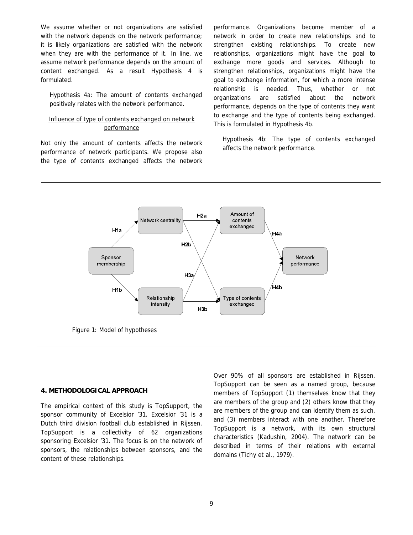We assume whether or not organizations are satisfied with the network depends on the network performance; it is likely organizations are satisfied with the network when they are with the performance of it. In line, we assume network performance depends on the amount of content exchanged. As a result Hypothesis 4 is formulated.

*Hypothesis 4a: The amount of contents exchanged positively relates with the network performance.* 

# Influence of type of contents exchanged on network performance

Not only the amount of contents affects the network performance of network participants. We propose also the type of contents exchanged affects the network performance. Organizations become member of a network in order to create new relationships and to strengthen existing relationships. To create new relationships, organizations might have the goal to exchange more goods and services. Although to strengthen relationships, organizations might have the goal to exchange information, for which a more intense relationship is needed. Thus, whether or not organizations are satisfied about the network performance, depends on the type of contents they want to exchange and the type of contents being exchanged. This is formulated in Hypothesis 4b.

*Hypothesis 4b: The type of contents exchanged affects the network performance.* 



Figure 1: Model of hypotheses

#### **4. METHODOLOGICAL APPROACH**

The empirical context of this study is TopSupport, the sponsor community of Excelsior '31. Excelsior '31 is a Dutch third division football club established in Rijssen. TopSupport is a collectivity of 62 organizations sponsoring Excelsior '31. The focus is on the network of sponsors, the relationships between sponsors, and the content of these relationships.

Over 90% of all sponsors are established in Rijssen. TopSupport can be seen as a named group, because members of TopSupport (1) themselves know that they are members of the group and (2) others know that they are members of the group and can identify them as such, and (3) members interact with one another. Therefore TopSupport is a network, with its own structural characteristics (Kadushin, 2004). The network can be described in terms of their relations with external domains (Tichy *et al.*, 1979).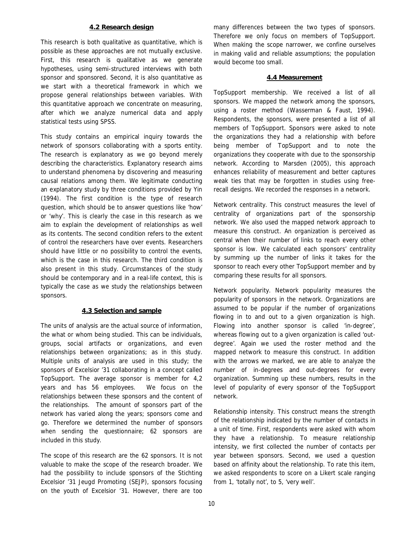#### **4.2 Research design**

This research is both qualitative as quantitative, which is possible as these approaches are not mutually exclusive. First, this research is qualitative as we generate hypotheses, using semi-structured interviews with both sponsor and sponsored. Second, it is also quantitative as we start with a theoretical framework in which we propose general relationships between variables. With this quantitative approach we concentrate on measuring, after which we analyze numerical data and apply statistical tests using SPSS.

This study contains an empirical inquiry towards the network of sponsors collaborating with a sports entity. The research is explanatory as we go beyond merely describing the characteristics. Explanatory research aims to understand phenomena by discovering and measuring causal relations among them. We legitimate conducting an explanatory study by three conditions provided by Yin (1994). The first condition is the type of research question, which should be to answer questions like 'how' or 'why'. This is clearly the case in this research as we aim to explain the development of relationships as well as its contents. The second condition refers to the extent of control the researchers have over events. Researchers should have little or no possibility to control the events, which is the case in this research. The third condition is also present in this study. Circumstances of the study should be contemporary and in a real-life context, this is typically the case as we study the relationships between sponsors.

#### **4.3 Selection and sample**

The units of analysis are the actual source of information, the what or whom being studied. This can be individuals, groups, social artifacts or organizations, and even relationships between organizations; as in this study. Multiple units of analysis are used in this study; the sponsors of Excelsior '31 collaborating in a concept called TopSupport. The average sponsor is member for 4,2 years and has 56 employees. We focus on the relationships between these sponsors and the content of the relationships. The amount of sponsors part of the network has varied along the years; sponsors come and go. Therefore we determined the number of sponsors when sending the questionnaire; 62 sponsors are included in this study.

The scope of this research are the 62 sponsors. It is not valuable to make the scope of the research broader. We had the possibility to include sponsors of the Stichting Excelsior '31 Jeugd Promoting (SEJP), sponsors focusing on the youth of Excelsior '31. However, there are too

many differences between the two types of sponsors. Therefore we only focus on members of TopSupport. When making the scope narrower, we confine ourselves in making valid and reliable assumptions; the population would become too small.

#### **4.4 Measurement**

*TopSupport membership.* We received a list of all sponsors. We mapped the network among the sponsors, using a roster method (Wasserman & Faust, 1994). Respondents, the sponsors, were presented a list of all members of TopSupport. Sponsors were asked to note the organizations they had a relationship with before being member of TopSupport and to note the organizations they cooperate with due to the sponsorship network. According to Marsden (2005), this approach enhances reliability of measurement and better captures weak ties that may be forgotten in studies using freerecall designs. We recorded the responses in a network.

*Network centrality.* This construct measures the level of centrality of organizations part of the sponsorship network. We also used the mapped network approach to measure this construct. An organization is perceived as central when their number of links to reach every other sponsor is low. We calculated each sponsors' centrality by summing up the number of links it takes for the sponsor to reach every other TopSupport member and by comparing these results for all sponsors.

*Network popularity.* Network popularity measures the popularity of sponsors in the network. Organizations are assumed to be popular if the number of organizations flowing in to and out to a given organization is high. Flowing into another sponsor is called 'in-degree', whereas flowing out to a given organization is called 'outdegree'. Again we used the roster method and the mapped network to measure this construct. In addition with the arrows we marked, we are able to analyze the number of in-degrees and out-degrees for every organization. Summing up these numbers, results in the level of popularity of every sponsor of the TopSupport network.

*Relationship intensity.* This construct means the strength of the relationship indicated by the number of contacts in a unit of time. First, respondents were asked with whom they have a relationship. To measure relationship intensity, we first collected the number of contacts per year between sponsors. Second, we used a question based on affinity about the relationship. To rate this item, we asked respondents to score on a Likert scale ranging from 1, 'totally not', to 5, 'very well'.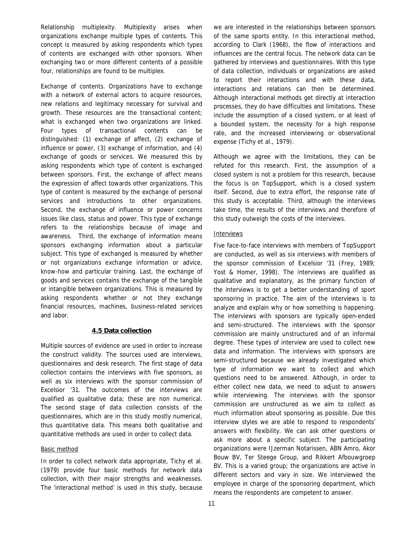*Relationship multiplexity.* Multiplexity arises when organizations exchange multiple types of contents. This concept is measured by asking respondents which types of contents are exchanged with other sponsors. When exchanging two or more different contents of a possible four, relationships are found to be multiplex.

*Exchange of contents.* Organizations have to exchange with a network of external actors to acquire resources, new relations and legitimacy necessary for survival and growth. These resources are the transactional content; what is exchanged when two organizations are linked. Four types of transactional contents can be distinguished: (1) exchange of affect, (2) exchange of influence or power, (3) exchange of information, and (4) exchange of goods or services. We measured this by asking respondents which type of content is exchanged between sponsors. First, the exchange of affect means the expression of affect towards other organizations. This type of content is measured by the exchange of personal services and introductions to other organizations. Second, the exchange of influence or power concerns issues like class, status and power. This type of exchange refers to the relationships because of image and awareness. Third, the exchange of information means sponsors exchanging information about a particular subject. This type of exchanged is measured by whether or not organizations exchange information or advice, know-how and particular training. Last, the exchange of goods and services contains the exchange of the tangible or intangible between organizations. This is measured by asking respondents whether or not they exchange financial resources, machines, business-related services and labor.

# **4.5 Data collection**

Multiple sources of evidence are used in order to increase the construct validity. The sources used are interviews, questionnaires and desk research. The first stage of data collection contains the interviews with five sponsors, as well as six interviews with the sponsor commission of Excelsior '31. The outcomes of the interviews are qualified as qualitative data; these are non numerical. The second stage of data collection consists of the questionnaires, which are in this study mostly numerical, thus quantitative data. This means both qualitative and quantitative methods are used in order to collect data.

# Basic method

In order to collect network data appropriate, Tichy *et al.* (1979) provide four basic methods for network data collection, with their major strengths and weaknesses. The 'interactional method' is used in this study, because we are interested in the relationships between sponsors of the same sports entity. In this interactional method, according to Clark (1968), the flow of interactions and influences are the central focus. The network data can be gathered by interviews and questionnaires. With this type of data collection, individuals or organizations are asked to report their interactions and with these data, interactions and relations can then be determined. Although interactional methods get directly at interaction processes, they do have difficulties and limitations. These include the assumption of a closed system, or at least of a bounded system, the necessity for a high response rate, and the increased interviewing or observational expense (Tichy *et al.*, 1979).

Although we agree with the limitations, they can be refuted for this research. First, the assumption of a closed system is not a problem for this research, because the focus is on TopSupport, which is a closed system itself. Second, due to extra effort, the response rate of this study is acceptable. Third, although the interviews take time, the results of the interviews and therefore of this study outweigh the costs of the interviews.

# **Interviews**

Five face-to-face interviews with members of TopSupport are conducted, as well as six interviews with members of the sponsor commission of Excelsior '31 (Frey, 1989; Yost & Homer, 1998). The interviews are qualified as qualitative and explanatory, as the primary function of the interviews is to get a better understanding of sport sponsoring in practice. The aim of the interviews is to analyze and explain why or how something is happening. The interviews with sponsors are typically open-ended and semi-structured. The interviews with the sponsor commission are mainly unstructured and of an informal degree. These types of interview are used to collect new data and information. The interviews with sponsors are semi-structured because we already investigated which type of information we want to collect and which questions need to be answered. Although, in order to either collect new data, we need to adjust to answers while interviewing. The interviews with the sponsor commission are unstructured as we aim to collect as much information about sponsoring as possible. Due this interview styles we are able to respond to respondents' answers with flexibility. We can ask other questions or ask more about a specific subject. The participating organizations were IJzerman Notarissen, ABN Amro, Akor Bouw BV, Ter Steege Group, and Rikkert Afbouwgroep BV. This is a varied group; the organizations are active in different sectors and vary in size. We interviewed the employee in charge of the sponsoring department, which means the respondents are competent to answer.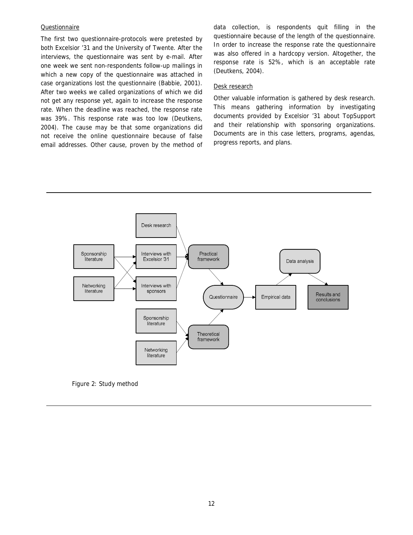### Questionnaire

The first two questionnaire-protocols were pretested by both Excelsior '31 and the University of Twente. After the interviews, the questionnaire was sent by e-mail. After one week we sent non-respondents follow-up mailings in which a new copy of the questionnaire was attached in case organizations lost the questionnaire (Babbie, 2001). After two weeks we called organizations of which we did not get any response yet, again to increase the response rate. When the deadline was reached, the response rate was 39%. This response rate was too low (Deutkens, 2004). The cause may be that some organizations did not receive the online questionnaire because of false email addresses. Other cause, proven by the method of data collection, is respondents quit filling in the questionnaire because of the length of the questionnaire. In order to increase the response rate the questionnaire was also offered in a hardcopy version. Altogether, the response rate is 52%, which is an acceptable rate (Deutkens, 2004).

#### Desk research

Other valuable information is gathered by desk research. This means gathering information by investigating documents provided by Excelsior '31 about TopSupport and their relationship with sponsoring organizations. Documents are in this case letters, programs, agendas, progress reports, and plans.



Figure 2: Study method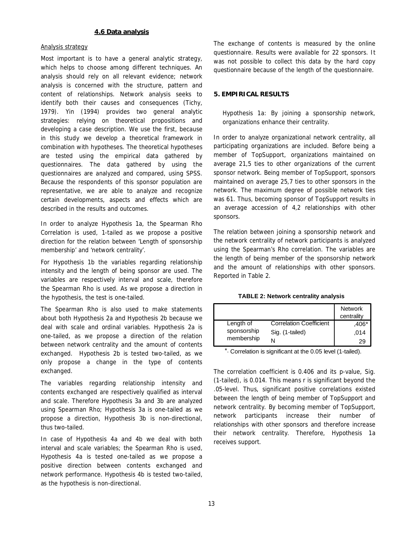# **4.6 Data analysis**

#### Analysis strategy

Most important is to have a general analytic strategy, which helps to choose among different techniques. An analysis should rely on all relevant evidence; network analysis is concerned with the structure, pattern and content of relationships. Network analysis seeks to identify both their causes and consequences (Tichy, 1979). Yin (1994) provides two general analytic strategies: relying on theoretical propositions and developing a case description. We use the first, because in this study we develop a theoretical framework in combination with hypotheses. The theoretical hypotheses are tested using the empirical data gathered by questionnaires. The data gathered by using the questionnaires are analyzed and compared, using SPSS. Because the respondents of this sponsor population are representative, we are able to analyze and recognize certain developments, aspects and effects which are described in the results and outcomes.

In order to analyze Hypothesis 1a, the Spearman Rho Correlation is used, 1-tailed as we propose a positive direction for the relation between 'Length of sponsorship membership' and 'network centrality'.

For Hypothesis 1b the variables regarding relationship intensity and the length of being sponsor are used. The variables are respectively interval and scale, therefore the Spearman Rho is used. As we propose a direction in the hypothesis, the test is one-tailed.

The Spearman Rho is also used to make statements about both Hypothesis 2a and Hypothesis 2b because we deal with scale and ordinal variables. Hypothesis 2a is one-tailed, as we propose a direction of the relation between network centrality and the amount of contents exchanged. Hypothesis 2b is tested two-tailed, as we only propose a change in the type of contents exchanged.

The variables regarding relationship intensity and contents exchanged are respectively qualified as interval and scale. Therefore Hypothesis 3a and 3b are analyzed using Spearman Rho; Hypothesis 3a is one-tailed as we propose a direction, Hypothesis 3b is non-directional, thus two-tailed.

In case of Hypothesis 4a and 4b we deal with both interval and scale variables; the Spearman Rho is used, Hypothesis 4a is tested one-tailed as we propose a positive direction between contents exchanged and network performance. Hypothesis 4b is tested two-tailed, as the hypothesis is non-directional.

The exchange of contents is measured by the online questionnaire. Results were available for 22 sponsors. It was not possible to collect this data by the hard copy questionnaire because of the length of the questionnaire.

## **5. EMPIRICAL RESULTS**

*Hypothesis 1a: By joining a sponsorship network, organizations enhance their centrality.* 

In order to analyze organizational network centrality, all participating organizations are included. Before being a member of TopSupport, organizations maintained on average 21,5 ties to other organizations of the current sponsor network. Being member of TopSupport, sponsors maintained on average 25,7 ties to other sponsors in the network. The maximum degree of possible network ties was 61. Thus, becoming sponsor of TopSupport results in an average accession of 4,2 relationships with other sponsors.

The relation between joining a sponsorship network and the network centrality of network participants is analyzed using the Spearman's Rho correlation. The variables are the length of being member of the sponsorship network and the amount of relationships with other sponsors. Reported in Table 2.

| TABLE 2: Network centrality analysis |  |
|--------------------------------------|--|
|                                      |  |

|             |                                | <b>Network</b><br>centrality |
|-------------|--------------------------------|------------------------------|
| Length of   | <b>Correlation Coefficient</b> | :406                         |
| sponsorship | Sig. (1-tailed)                | ,014                         |
| membership  |                                | 29                           |

\*. Correlation is significant at the 0.05 level (1-tailed).

The correlation coefficient is 0.406 and its p-value, Sig. (1-tailed), is 0.014. This means r is significant beyond the .05-level. Thus, significant positive correlations existed between the length of being member of TopSupport and network centrality. By becoming member of TopSupport, network participants increase their number of relationships with other sponsors and therefore increase their network centrality. Therefore, Hypothesis 1a receives support.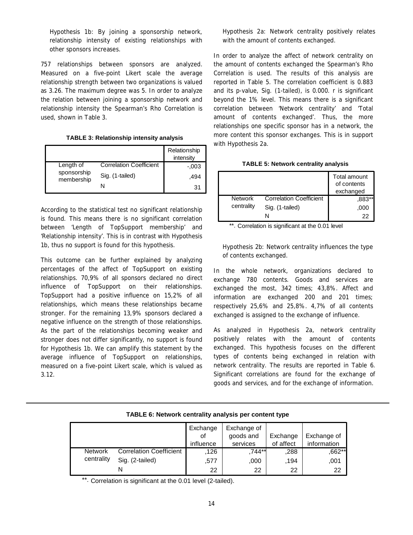*Hypothesis 1b: By joining a sponsorship network, relationship intensity of existing relationships with other sponsors increases.* 

757 relationships between sponsors are analyzed. Measured on a five-point Likert scale the average relationship strength between two organizations is valued as 3.26. The maximum degree was 5. In order to analyze the relation between joining a sponsorship network and relationship intensity the Spearman's Rho Correlation is used, shown in Table 3.

| TABLE 3: Relationship intensity analysis |  |
|------------------------------------------|--|
|                                          |  |

|                           |                                | Relationship<br>intensity |
|---------------------------|--------------------------------|---------------------------|
| Length of                 | <b>Correlation Coefficient</b> | $-0.003$                  |
| sponsorship<br>membership | Sig. (1-tailed)                | .494                      |
|                           |                                | 31                        |

According to the statistical test no significant relationship is found. This means there is no significant correlation between 'Length of TopSupport membership' and 'Relationship intensity'. This is in contrast with Hypothesis 1b, thus no support is found for this hypothesis.

This outcome can be further explained by analyzing percentages of the affect of TopSupport on existing relationships. 70,9% of all sponsors declared no direct influence of TopSupport on their relationships. TopSupport had a positive influence on 15,2% of all relationships, which means these relationships became stronger. For the remaining 13,9% sponsors declared a negative influence on the strength of those relationships. As the part of the relationships becoming weaker and stronger does not differ significantly, no support is found for Hypothesis 1b. We can amplify this statement by the average influence of TopSupport on relationships, measured on a five-point Likert scale, which is valued as 3.12.

# *Hypothesis 2a: Network centrality positively relates with the amount of contents exchanged.*

In order to analyze the affect of network centrality on the amount of contents exchanged the Spearman's Rho Correlation is used. The results of this analysis are reported in Table 5. The correlation coefficient is 0.883 and its *p*-value, Sig. (1-tailed), is 0.000. *r* is significant beyond the 1% level. This means there is a significant correlation between 'Network centrality' and 'Total amount of contents exchanged'. Thus, the more relationships one specific sponsor has in a network, the more content this sponsor exchanges. This is in support with Hypothesis 2a.

|                |                                | Total amount<br>of contents<br>exchanged |
|----------------|--------------------------------|------------------------------------------|
| <b>Network</b> | <b>Correlation Coefficient</b> | ,883**                                   |
| centrality     | Sig. (1-tailed)                | .000                                     |
|                |                                | 22                                       |

\*\*. Correlation is significant at the 0.01 level

# *Hypothesis 2b: Network centrality influences the type of contents exchanged.*

In the whole network, organizations declared to exchange 780 contents. Goods and services are exchanged the most, 342 times; 43,8%. Affect and information are exchanged 200 and 201 times; respectively 25,6% and 25,8%. 4,7% of all contents exchanged is assigned to the exchange of influence.

As analyzed in Hypothesis 2a, network centrality positively relates with the amount of contents exchanged. This hypothesis focuses on the different types of contents being exchanged in relation with network centrality. The results are reported in Table 6. Significant correlations are found for the exchange of goods and services, and for the exchange of information.

|                |                                | Exchange<br>οf<br>influence | Exchange of<br>goods and<br>services | Exchange<br>of affect | Exchange of<br>information |
|----------------|--------------------------------|-----------------------------|--------------------------------------|-----------------------|----------------------------|
| <b>Network</b> | <b>Correlation Coefficient</b> | 126                         | ,744**                               | .288                  | ,662**                     |
| centrality     | Sig. (2-tailed)                | .577                        | .000                                 | ,194                  | .001                       |
|                |                                | 22                          | 22                                   | 22                    | 22                         |

**TABLE 6: Network centrality analysis per content type**

\*\*. Correlation is significant at the 0.01 level (2-tailed).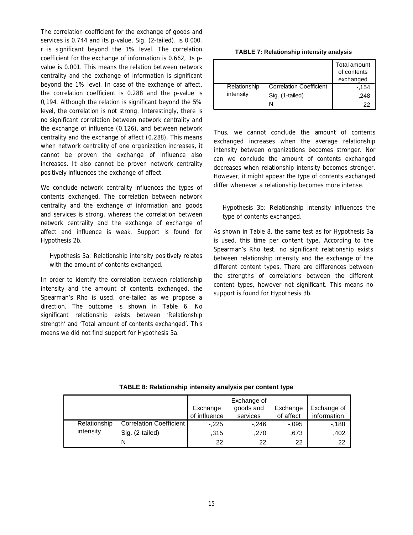The correlation coefficient for the exchange of goods and services is 0.744 and its *p*-value, Sig. (2-tailed), is 0.000. *r* is significant beyond the 1% level. The correlation coefficient for the exchange of information is 0.662, its *p*value is 0.001. This means the relation between network centrality and the exchange of information is significant beyond the 1% level. In case of the exchange of affect, the correlation coefficient is 0.288 and the *p*-value is 0,194. Although the relation is significant beyond the 5% level, the correlation is not strong. Interestingly, there is no significant correlation between network centrality and the exchange of influence (0.126), and between network centrality and the exchange of affect (0.288). This means when network centrality of one organization increases, it cannot be proven the exchange of influence also increases. It also cannot be proven network centrality positively influences the exchange of affect.

We conclude network centrality influences the types of contents exchanged. The correlation between network centrality and the exchange of information and goods and services is strong, whereas the correlation between network centrality and the exchange of exchange of affect and influence is weak. Support is found for Hypothesis 2b.

# *Hypothesis 3a: Relationship intensity positively relates with the amount of contents exchanged.*

In order to identify the correlation between relationship intensity and the amount of contents exchanged, the Spearman's Rho is used, one-tailed as we propose a direction. The outcome is shown in Table 6. No significant relationship exists between 'Relationship strength' and 'Total amount of contents exchanged'. This means we did not find support for Hypothesis 3a.

| <b>TABLE 7: Relationship intensity analysis</b> |  |
|-------------------------------------------------|--|
|-------------------------------------------------|--|

|              |                                | Total amount<br>of contents<br>exchanged |
|--------------|--------------------------------|------------------------------------------|
| Relationship | <b>Correlation Coefficient</b> | -.154                                    |
| intensity    | Sig. (1-tailed)                | .248                                     |
|              |                                | 22                                       |

Thus, we cannot conclude the amount of contents exchanged increases when the average relationship intensity between organizations becomes stronger. Nor can we conclude the amount of contents exchanged decreases when relationship intensity becomes stronger. However, it might appear the type of contents exchanged differ whenever a relationship becomes more intense.

# *Hypothesis 3b: Relationship intensity influences the type of contents exchanged.*

As shown in Table 8, the same test as for Hypothesis 3a is used, this time per content type. According to the Spearman's Rho test, no significant relationship exists between relationship intensity and the exchange of the different content types. There are differences between the strengths of correlations between the different content types, however not significant. This means no support is found for Hypothesis 3b.

| TABLE 8: Relationship intensity analysis per content type |  |  |
|-----------------------------------------------------------|--|--|

|              |                         | Exchange<br>of influence | Exchange of<br>goods and<br>services | Exchange<br>of affect | Exchange of<br>information |
|--------------|-------------------------|--------------------------|--------------------------------------|-----------------------|----------------------------|
| Relationship | Correlation Coefficient | $-.225$                  | $-.246$                              | $-.095$               | -.188                      |
| intensity    | Sig. (2-tailed)         | ,315                     | .270                                 | .673                  | .402                       |
|              |                         | 22                       | 22                                   | 22                    | 22                         |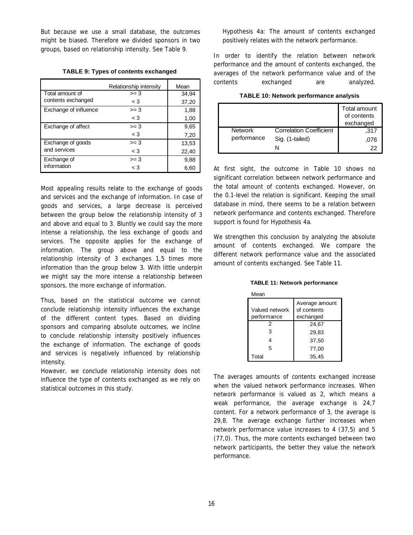But because we use a small database, the outcomes might be biased. Therefore we divided sponsors in two groups, based on relationship intensity. See Table 9.

**TABLE 9: Types of contents exchanged**

|                       | Relationship intensity | Mean  |
|-----------------------|------------------------|-------|
| Total amount of       | $>= 3$                 | 34.94 |
| contents exchanged    | $\leq 3$               | 37,20 |
| Exchange of influence | $>= 3$                 | 1,88  |
|                       | $\lt$ 3                | 1,00  |
| Exchange of affect    | $>= 3$                 | 9,65  |
|                       | $<$ 3                  | 7,20  |
| Exchange of goods     | $>= 3$                 | 13,53 |
| and services          | $\leq 3$               | 22,40 |
| Exchange of           | $>= 3$                 | 9,88  |
| information           | $<$ 3                  | 6,60  |

Most appealing results relate to the exchange of goods and services and the exchange of information. In case of goods and services, a large decrease is perceived between the group below the relationship intensity of 3 and above and equal to 3. Bluntly we could say the more intense a relationship, the less exchange of goods and services. The opposite applies for the exchange of information. The group above and equal to the relationship intensity of 3 exchanges 1,5 times more information than the group below 3. With little underpin we might say the more intense a relationship between sponsors, the more exchange of information.

Thus, based on the statistical outcome we cannot conclude relationship intensity influences the exchange of the different content types. Based on dividing sponsors and comparing absolute outcomes, we incline to conclude relationship intensity positively influences the exchange of information. The exchange of goods and services is negatively influenced by relationship intensity.

However, we conclude relationship intensity does not influence the type of contents exchanged as we rely on statistical outcomes in this study.

# *Hypothesis 4a: The amount of contents exchanged positively relates with the network performance.*

In order to identify the relation between network performance and the amount of contents exchanged, the averages of the network performance value and of the contents exchanged are analyzed.

| TABLE 10: Network performance analysis |  |  |
|----------------------------------------|--|--|
|----------------------------------------|--|--|

|                |                                | Total amount<br>of contents<br>exchanged |
|----------------|--------------------------------|------------------------------------------|
| <b>Network</b> | <b>Correlation Coefficient</b> | .317                                     |
| performance    | Sig. (1-tailed)                | .076                                     |
|                |                                | 22                                       |

At first sight, the outcome in Table 10 shows no significant correlation between network performance and the total amount of contents exchanged. However, on the 0.1-level the relation is significant. Keeping the small database in mind, there seems to be a relation between network performance and contents exchanged. Therefore support is found for Hypothesis 4a.

We strengthen this conclusion by analyzing the absolute amount of contents exchanged. We compare the different network performance value and the associated amount of contents exchanged. See Table 11.

**TABLE 11: Network performance**

| Mean           |                |
|----------------|----------------|
|                | Average amount |
| Valued network | of contents    |
| performance    | exchanged      |
| 2              | 24,67          |
| 3              | 29,83          |
| Δ              | 37.50          |
| 5              | 77.00          |
| Total          | 35.45          |

The averages amounts of contents exchanged increase when the valued network performance increases. When network performance is valued as 2, which means a weak performance, the average exchange is 24,7 content. For a network performance of 3, the average is 29,8. The average exchange further increases when network performance value increases to 4 (37,5) and 5 (77,0). Thus, the more contents exchanged between two network participants, the better they value the network performance.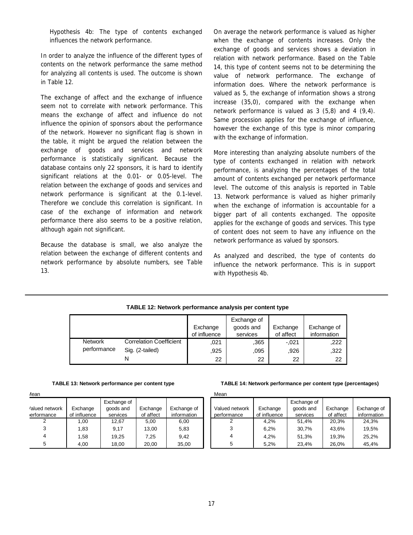*Hypothesis 4b: The type of contents exchanged influences the network performance.* 

In order to analyze the influence of the different types of contents on the network performance the same method for analyzing all contents is used. The outcome is shown in Table 12.

The exchange of affect and the exchange of influence seem not to correlate with network performance. This means the exchange of affect and influence do not influence the opinion of sponsors about the performance of the network. However no significant flag is shown in the table, it might be argued the relation between the exchange of goods and services and network performance is statistically significant. Because the database contains only 22 sponsors, it is hard to identify significant relations at the 0.01- or 0.05-level. The relation between the exchange of goods and services and network performance is significant at the 0.1-level. Therefore we conclude this correlation is significant. In case of the exchange of information and network performance there also seems to be a positive relation, although again not significant.

Because the database is small, we also analyze the relation between the exchange of different contents and network performance by absolute numbers, see Table 13.

On average the network performance is valued as higher when the exchange of contents increases. Only the exchange of goods and services shows a deviation in relation with network performance. Based on the Table 14, this type of content seems not to be determining the value of network performance. The exchange of information does. Where the network performance is valued as 5, the exchange of information shows a strong increase (35,0), compared with the exchange when network performance is valued as 3 (5,8) and 4 (9,4). Same procession applies for the exchange of influence, however the exchange of this type is minor comparing with the exchange of information.

More interesting than analyzing absolute numbers of the type of contents exchanged in relation with network performance, is analyzing the percentages of the total amount of contents exchanged per network performance level. The outcome of this analysis is reported in Table 13. Network performance is valued as higher primarily when the exchange of information is accountable for a bigger part of all contents exchanged. The opposite applies for the exchange of goods and services. This type of content does not seem to have any influence on the network performance as valued by sponsors.

As analyzed and described, the type of contents do influence the network performance. This is in support with Hypothesis 4b.

#### **TABLE 12: Network performance analysis per content type**

|                |                                |              | Exchange of |           |             |
|----------------|--------------------------------|--------------|-------------|-----------|-------------|
|                |                                | Exchange     | goods and   | Exchange  | Exchange of |
|                |                                | of influence | services    | of affect | information |
| <b>Network</b> | <b>Correlation Coefficient</b> | .021         | .365        | $-.021$   | ,222        |
| performance    | Sig. (2-tailed)                | .925         | .095        | .926      | ,322        |
|                |                                | 22           | 22          | 22        | 22          |

Mean

| TABLE 13: Network performance per content type |  |  |
|------------------------------------------------|--|--|
|------------------------------------------------|--|--|

| /16d11                       |                          |                                      |                       |                            |
|------------------------------|--------------------------|--------------------------------------|-----------------------|----------------------------|
| 'alued network<br>erformance | Exchange<br>of influence | Exchange of<br>goods and<br>services | Exchange<br>of affect | Exchange of<br>information |
|                              | 1,00                     | 12,67                                | 5,00                  | 6,00                       |
| 3                            | 1,83                     | 9.17                                 | 13,00                 | 5,83                       |
| 4                            | 1,58                     | 19,25                                | 7,25                  | 9,42                       |
| 5                            | 4,00                     | 18,00                                | 20,00                 | 35,00                      |

#### **TABLE 14: Network performance per content type (percentages)**

| Mean                          |                          |                                      |                       |                            |
|-------------------------------|--------------------------|--------------------------------------|-----------------------|----------------------------|
| Valued network<br>performance | Exchange<br>of influence | Exchange of<br>goods and<br>services | Exchange<br>of affect | Exchange of<br>information |
|                               | 4.2%                     | 51,4%                                | 20.3%                 | 24.3%                      |
| 3                             | 6.2%                     | 30.7%                                | 43,6%                 | 19.5%                      |
|                               | 4.2%                     | 51,3%                                | 19.3%                 | 25.2%                      |
| 5                             | 5.2%                     | 23,4%                                | 26.0%                 | 45.4%                      |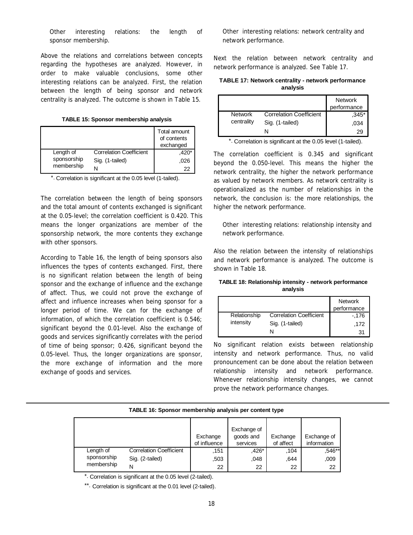## *Other interesting relations: the length of sponsor membership.*

Above the relations and correlations between concepts regarding the hypotheses are analyzed. However, in order to make valuable conclusions, some other interesting relations can be analyzed. First, the relation between the length of being sponsor and network centrality is analyzed. The outcome is shown in Table 15.

**TABLE 15: Sponsor membership analysis**

|             |                                | Total amount<br>of contents<br>exchanged |
|-------------|--------------------------------|------------------------------------------|
| Length of   | <b>Correlation Coefficient</b> | $.420*$                                  |
| sponsorship | Sig. (1-tailed)                | .026                                     |
| membership  |                                | 22                                       |

\*. Correlation is significant at the 0.05 level (1-tailed).

The correlation between the length of being sponsors and the total amount of contents exchanged is significant at the 0.05-level; the correlation coefficient is 0.420. This means the longer organizations are member of the sponsorship network, the more contents they exchange with other sponsors.

According to Table 16, the length of being sponsors also influences the types of contents exchanged. First, there is no significant relation between the length of being sponsor and the exchange of influence and the exchange of affect. Thus, we could not prove the exchange of affect and influence increases when being sponsor for a longer period of time. We can for the exchange of information, of which the correlation coefficient is 0.546; significant beyond the 0.01-level. Also the exchange of goods and services significantly correlates with the period of time of being sponsor; 0.426, significant beyond the 0.05-level. Thus, the longer organizations are sponsor, the more exchange of information and the more exchange of goods and services.

*Other interesting relations: network centrality and network performance.* 

Next the relation between network centrality and network performance is analyzed. See Table 17.

**TABLE 17: Network centrality - network performance analysis**

|                |                                | <b>Network</b><br>performance |
|----------------|--------------------------------|-------------------------------|
| <b>Network</b> | <b>Correlation Coefficient</b> | $,345*$                       |
| centrality     | Sig. (1-tailed)                | .034                          |
|                |                                | 29                            |

\*. Correlation is significant at the 0.05 level (1-tailed).

The correlation coefficient is 0.345 and significant beyond the 0.050-level. This means the higher the network centrality, the higher the network performance as valued by network members. As network centrality is operationalized as the number of relationships in the network, the conclusion is: the more relationships, the higher the network performance.

*Other interesting relations: relationship intensity and network performance.* 

Also the relation between the intensity of relationships and network performance is analyzed. The outcome is shown in Table 18.

| <b>TABLE 18: Relationship intensity - network performance</b> |  |
|---------------------------------------------------------------|--|
| analvsis                                                      |  |

|              |                                | <b>Network</b><br>performance |
|--------------|--------------------------------|-------------------------------|
| Relationship | <b>Correlation Coefficient</b> | $-176$                        |
| intensity    | Sig. (1-tailed)                | .172                          |
|              |                                | 31                            |

No significant relation exists between relationship intensity and network performance. Thus, no valid pronouncement can be done about the relation between relationship intensity and network performance. Whenever relationship intensity changes, we cannot prove the network performance changes.

# **TABLE 16: Sponsor membership analysis per content type**

|                                        |                                | Exchange<br>of influence | Exchange of<br>goods and<br>services | Exchange<br>of affect | Exchange of<br>information |
|----------------------------------------|--------------------------------|--------------------------|--------------------------------------|-----------------------|----------------------------|
| Length of<br>sponsorship<br>membership | <b>Correlation Coefficient</b> | .151                     | ,426*                                | .104                  | .546**                     |
|                                        | Sig. (2-tailed)                | ,503                     | .048                                 | .644                  | ,009                       |
|                                        | N                              | 22                       | 22                                   | 22                    | 22                         |

\*. Correlation is significant at the 0.05 level (2-tailed).

\*\*. Correlation is significant at the 0.01 level (2-tailed).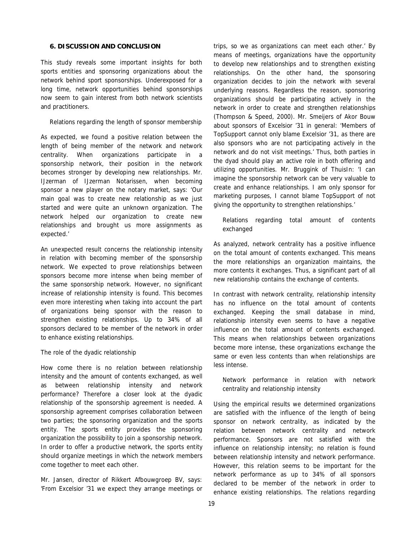#### **6. DISCUSSION AND CONCLUSION**

This study reveals some important insights for both sports entities and sponsoring organizations about the network behind sport sponsorships. Underexposed for a long time, network opportunities behind sponsorships now seem to gain interest from both network scientists and practitioners.

#### *Relations regarding the length of sponsor membership*

As expected, we found a positive relation between the length of being member of the network and network centrality. When organizations participate in a sponsorship network, their position in the network becomes stronger by developing new relationships. Mr. IJzerman of IJzerman Notarissen, when becoming sponsor a new player on the notary market, says: 'Our main goal was to create new relationship as we just started and were quite an unknown organization. The network helped our organization to create new relationships and brought us more assignments as expected.'

An unexpected result concerns the relationship intensity in relation with becoming member of the sponsorship network. We expected to prove relationships between sponsors become more intense when being member of the same sponsorship network. However, no significant increase of relationship intensity is found. This becomes even more interesting when taking into account the part of organizations being sponsor with the reason to strengthen existing relationships. Up to 34% of all sponsors declared to be member of the network in order to enhance existing relationships.

#### *The role of the dyadic relationship*

How come there is no relation between relationship intensity and the amount of contents exchanged, as well as between relationship intensity and network performance? Therefore a closer look at the dyadic relationship of the sponsorship agreement is needed. A sponsorship agreement comprises collaboration between two parties; the sponsoring organization and the sports entity. The sports entity provides the sponsoring organization the possibility to join a sponsorship network. In order to offer a productive network, the sports entity should organize meetings in which the network members come together to meet each other.

Mr. Jansen, director of Rikkert Afbouwgroep BV, says: 'From Excelsior '31 we expect they arrange meetings or trips, so we as organizations can meet each other.' By means of meetings, organizations have the opportunity to develop new relationships and to strengthen existing relationships. On the other hand, the sponsoring organization decides to join the network with several underlying reasons. Regardless the reason, sponsoring organizations should be participating actively in the network in order to create and strengthen relationships (Thompson & Speed, 2000). Mr. Smeijers of Akor Bouw about sponsors of Excelsior '31 in general: 'Members of TopSupport cannot only blame Excelsior '31, as there are also sponsors who are not participating actively in the network and do not visit meetings.' Thus, both parties in the dyad should play an active role in both offering and utilizing opportunities. Mr. Bruggink of ThuisIn: 'I can imagine the sponsorship network can be very valuable to create and enhance relationships. I am only sponsor for marketing purposes, I cannot blame TopSupport of not giving the opportunity to strengthen relationships.'

# *Relations regarding total amount of contents exchanged*

As analyzed, network centrality has a positive influence on the total amount of contents exchanged. This means the more relationships an organization maintains, the more contents it exchanges. Thus, a significant part of all new relationship contains the exchange of contents.

In contrast with network centrality, relationship intensity has no influence on the total amount of contents exchanged. Keeping the small database in mind, relationship intensity even seems to have a negative influence on the total amount of contents exchanged. This means when relationships between organizations become more intense, these organizations exchange the same or even less contents than when relationships are less intense.

# *Network performance in relation with network centrality and relationship intensity*

Using the empirical results we determined organizations are satisfied with the influence of the length of being sponsor on network centrality, as indicated by the relation between network centrality and network performance. Sponsors are not satisfied with the influence on relationship intensity; no relation is found between relationship intensity and network performance. However, this relation seems to be important for the network performance as up to 34% of all sponsors declared to be member of the network in order to enhance existing relationships. The relations regarding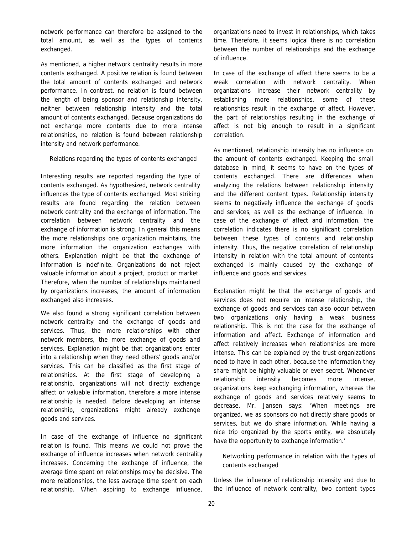network performance can therefore be assigned to the total amount, as well as the types of contents exchanged.

As mentioned, a higher network centrality results in more contents exchanged. A positive relation is found between the total amount of contents exchanged and network performance. In contrast, no relation is found between the length of being sponsor and relationship intensity, neither between relationship intensity and the total amount of contents exchanged. Because organizations do not exchange more contents due to more intense relationships, no relation is found between relationship intensity and network performance.

#### *Relations regarding the types of contents exchanged*

Interesting results are reported regarding the type of contents exchanged. As hypothesized, network centrality influences the type of contents exchanged. Most striking results are found regarding the relation between network centrality and the exchange of information. The correlation between network centrality and the exchange of information is strong. In general this means the more relationships one organization maintains, the more information the organization exchanges with others. Explanation might be that the exchange of information is indefinite. Organizations do not reject valuable information about a project, product or market. Therefore, when the number of relationships maintained by organizations increases, the amount of information exchanged also increases.

We also found a strong significant correlation between network centrality and the exchange of goods and services. Thus, the more relationships with other network members, the more exchange of goods and services. Explanation might be that organizations enter into a relationship when they need others' goods and/or services. This can be classified as the first stage of relationships. At the first stage of developing a relationship, organizations will not directly exchange affect or valuable information, therefore a more intense relationship is needed. Before developing an intense relationship, organizations might already exchange goods and services.

In case of the exchange of influence no significant relation is found. This means we could not prove the exchange of influence increases when network centrality increases. Concerning the exchange of influence, the average time spent on relationships may be decisive. The more relationships, the less average time spent on each relationship. When aspiring to exchange influence,

organizations need to invest in relationships, which takes time. Therefore, it seems logical there is no correlation between the number of relationships and the exchange of influence.

In case of the exchange of affect there seems to be a weak correlation with network centrality. When organizations increase their network centrality by establishing more relationships, some of these relationships result in the exchange of affect. However, the part of relationships resulting in the exchange of affect is not big enough to result in a significant correlation.

As mentioned, relationship intensity has no influence on the amount of contents exchanged. Keeping the small database in mind, it seems to have on the types of contents exchanged. There are differences when analyzing the relations between relationship intensity and the different content types. Relationship intensity seems to negatively influence the exchange of goods and services, as well as the exchange of influence. In case of the exchange of affect and information, the correlation indicates there is no significant correlation between these types of contents and relationship intensity. Thus, the negative correlation of relationship intensity in relation with the total amount of contents exchanged is mainly caused by the exchange of influence and goods and services.

Explanation might be that the exchange of goods and services does not require an intense relationship, the exchange of goods and services can also occur between two organizations only having a weak business relationship. This is not the case for the exchange of information and affect. Exchange of information and affect relatively increases when relationships are more intense. This can be explained by the trust organizations need to have in each other, because the information they share might be highly valuable or even secret. Whenever relationship intensity becomes more intense, organizations keep exchanging information, whereas the exchange of goods and services relatively seems to decrease. Mr. Jansen says: 'When meetings are organized, we as sponsors do not directly share goods or services, but we do share information. While having a nice trip organized by the sports entity, we absolutely have the opportunity to exchange information.'

# *Networking performance in relation with the types of contents exchanged*

Unless the influence of relationship intensity and due to the influence of network centrality, two content types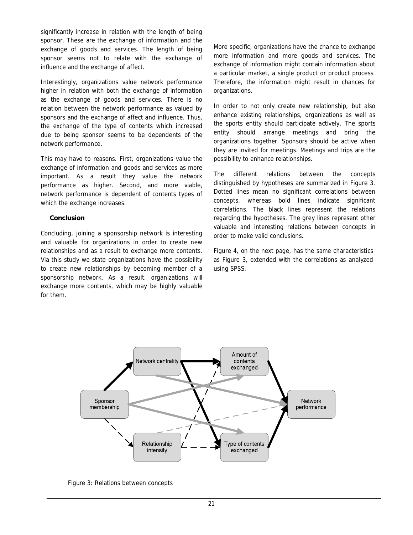significantly increase in relation with the length of being sponsor. These are the exchange of information and the exchange of goods and services. The length of being sponsor seems not to relate with the exchange of influence and the exchange of affect.

Interestingly, organizations value network performance higher in relation with both the exchange of information as the exchange of goods and services. There is no relation between the network performance as valued by sponsors and the exchange of affect and influence. Thus, the exchange of the type of contents which increased due to being sponsor seems to be dependents of the network performance.

This may have to reasons. First, organizations value the exchange of information and goods and services as more important. As a result they value the network performance as higher. Second, and more viable, network performance is dependent of contents types of which the exchange increases.

# *Conclusion*

Concluding, joining a sponsorship network is interesting and valuable for organizations in order to create new relationships and as a result to exchange more contents. Via this study we state organizations have the possibility to create new relationships by becoming member of a sponsorship network. As a result, organizations will exchange more contents, which may be highly valuable for them.

More specific, organizations have the chance to exchange more information and more goods and services. The exchange of information might contain information about a particular market, a single product or product process. Therefore, the information might result in chances for organizations.

In order to not only create new relationship, but also enhance existing relationships, organizations as well as the sports entity should participate actively. The sports entity should arrange meetings and bring the organizations together. Sponsors should be active when they are invited for meetings. Meetings and trips are the possibility to enhance relationships.

The different relations between the concepts distinguished by hypotheses are summarized in Figure 3. Dotted lines mean no significant correlations between concepts, whereas bold lines indicate significant correlations. The black lines represent the relations regarding the hypotheses. The grey lines represent other valuable and interesting relations between concepts in order to make valid conclusions.

Figure 4, on the next page, has the same characteristics as Figure 3, extended with the correlations as analyzed using SPSS.



Figure 3: Relations between concepts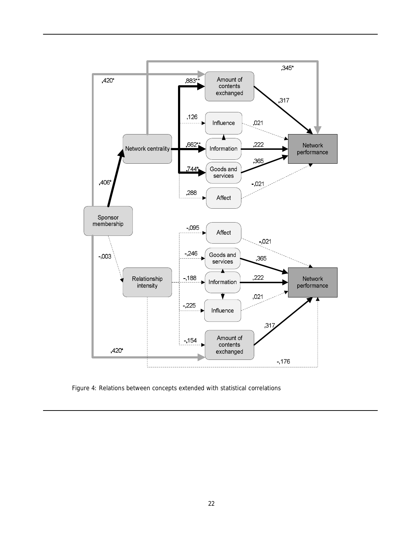

Figure 4: Relations between concepts extended with statistical correlations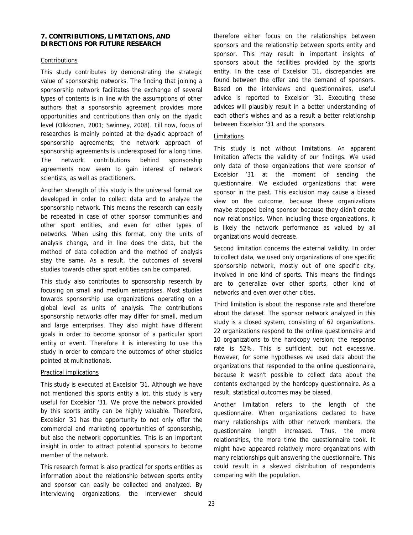#### **7. CONTRIBUTIONS, LIMITATIONS, AND DIRECTIONS FOR FUTURE RESEARCH**

#### Contributions

This study contributes by demonstrating the strategic value of sponsorship networks. The finding that joining a sponsorship network facilitates the exchange of several types of contents is in line with the assumptions of other authors that a sponsorship agreement provides more opportunities and contributions than only on the dyadic level (Olkkonen, 2001; Swinney, 2008). Till now, focus of researches is mainly pointed at the dyadic approach of sponsorship agreements; the network approach of sponsorship agreements is underexposed for a long time. The network contributions behind sponsorship agreements now seem to gain interest of network scientists, as well as practitioners.

Another strength of this study is the universal format we developed in order to collect data and to analyze the sponsorship network. This means the research can easily be repeated in case of other sponsor communities and other sport entities, and even for other types of networks. When using this format, only the units of analysis change, and in line does the data, but the method of data collection and the method of analysis stay the same. As a result, the outcomes of several studies towards other sport entities can be compared.

This study also contributes to sponsorship research by focusing on small and medium enterprises. Most studies towards sponsorship use organizations operating on a global level as units of analysis. The contributions sponsorship networks offer may differ for small, medium and large enterprises. They also might have different goals in order to become sponsor of a particular sport entity or event. Therefore it is interesting to use this study in order to compare the outcomes of other studies pointed at multinationals.

# Practical implications

This study is executed at Excelsior '31. Although we have not mentioned this sports entity a lot, this study is very useful for Excelsior '31. We prove the network provided by this sports entity can be highly valuable. Therefore, Excelsior '31 has the opportunity to not only offer the commercial and marketing opportunities of sponsorship, but also the network opportunities. This is an important insight in order to attract potential sponsors to become member of the network.

This research format is also practical for sports entities as information about the relationship between sports entity and sponsor can easily be collected and analyzed. By interviewing organizations, the interviewer should therefore either focus on the relationships between sponsors and the relationship between sports entity and sponsor. This may result in important insights of sponsors about the facilities provided by the sports entity. In the case of Excelsior '31, discrepancies are found between the offer and the demand of sponsors. Based on the interviews and questionnaires, useful advice is reported to Excelsior '31. Executing these advices will plausibly result in a better understanding of each other's wishes and as a result a better relationship between Excelsior '31 and the sponsors.

### Limitations

This study is not without limitations. An apparent limitation affects the validity of our findings. We used only data of those organizations that were sponsor of Excelsior '31 at the moment of sending the questionnaire. We excluded organizations that were sponsor in the past. This exclusion may cause a biased view on the outcome, because these organizations maybe stopped being sponsor because they didn't create new relationships. When including these organizations, it is likely the network performance as valued by all organizations would decrease.

Second limitation concerns the external validity. In order to collect data, we used only organizations of one specific sponsorship network, mostly out of one specific city, involved in one kind of sports. This means the findings are to generalize over other sports, other kind of networks and even over other cities.

Third limitation is about the response rate and therefore about the dataset. The sponsor network analyzed in this study is a closed system, consisting of 62 organizations. 22 organizations respond to the online questionnaire and 10 organizations to the hardcopy version; the response rate is 52%. This is sufficient, but not excessive. However, for some hypotheses we used data about the organizations that responded to the online questionnaire, because it wasn't possible to collect data about the contents exchanged by the hardcopy questionnaire. As a result, statistical outcomes may be biased.

Another limitation refers to the length of the questionnaire. When organizations declared to have many relationships with other network members, the questionnaire length increased. Thus, the more relationships, the more time the questionnaire took. It might have appeared relatively more organizations with many relationships quit answering the questionnaire. This could result in a skewed distribution of respondents comparing with the population.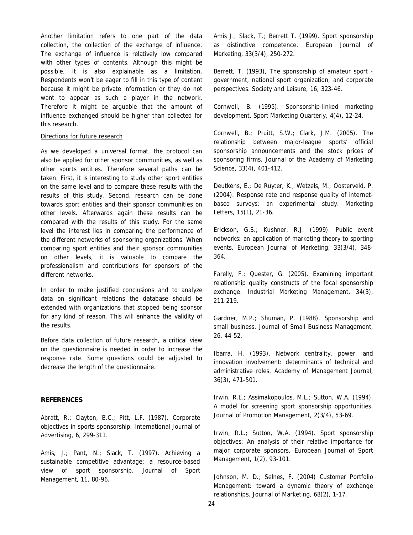Another limitation refers to one part of the data collection, the collection of the exchange of influence. The exchange of influence is relatively low compared with other types of contents. Although this might be possible, it is also explainable as a limitation. Respondents won't be eager to fill in this type of content because it might be private information or they do not want to appear as such a player in the network. Therefore it might be arguable that the amount of influence exchanged should be higher than collected for this research.

#### Directions for future research

As we developed a universal format, the protocol can also be applied for other sponsor communities, as well as other sports entities. Therefore several paths can be taken. First, it is interesting to study other sport entities on the same level and to compare these results with the results of this study. Second, research can be done towards sport entities and their sponsor communities on other levels. Afterwards again these results can be compared with the results of this study. For the same level the interest lies in comparing the performance of the different networks of sponsoring organizations. When comparing sport entities and their sponsor communities on other levels, it is valuable to compare the professionalism and contributions for sponsors of the different networks.

In order to make justified conclusions and to analyze data on significant relations the database should be extended with organizations that stopped being sponsor for any kind of reason. This will enhance the validity of the results.

Before data collection of future research, a critical view on the questionnaire is needed in order to increase the response rate. Some questions could be adjusted to decrease the length of the questionnaire.

#### **REFERENCES**

Abratt, R.; Clayton, B.C.; Pitt, L.F. (1987). Corporate objectives in sports sponsorship. *International Journal of Advertising*, 6, 299-311.

Amis, J.; Pant, N.; Slack, T. (1997). Achieving a sustainable competitive advantage: a resource-based view of sport sponsorship. *Journal of Sport Management*, 11, 80-96.

Amis J.; Slack, T.; Berrett T. (1999). Sport sponsorship as distinctive competence. *European Journal of Marketing*, 33(3/4), 250-272.

Berrett, T. (1993), The sponsorship of amateur sport government, national sport organization, and corporate perspectives. *Society and Leisure*, 16, 323-46.

Cornwell, B. (1995). Sponsorship-linked marketing development. *Sport Marketing Quarterly*, 4(4), 12-24.

Cornwell, B.; Pruitt, S.W.; Clark, J.M. (2005). The relationship between major-league sports' official sponsorship announcements and the stock prices of sponsoring firms. *Journal of the Academy of Marketing Science*, 33(4), 401-412.

Deutkens, E.; De Ruyter, K.; Wetzels, M.; Oosterveld, P. (2004). Response rate and response quality of internetbased surveys: an experimental study. *Marketing Letters*, 15(1), 21-36.

Erickson, G.S.; Kushner, R.J. (1999). Public event networks: an application of marketing theory to sporting events. *European Journal of Marketing*, 33(3/4), 348- 364.

Farelly, F.; Quester, G. (2005). Examining important relationship quality constructs of the focal sponsorship exchange. *Industrial Marketing Management*, 34(3), 211-219.

Gardner, M.P.; Shuman, P. (1988). Sponsorship and small business*. Journal of Small Business Management*, 26, 44-52.

Ibarra, H. (1993). Network centrality, power, and innovation involvement: determinants of technical and administrative roles. *Academy of Management Journal*, 36(3), 471-501.

Irwin, R.L.; Assimakopoulos, M.L.; Sutton, W.A. (1994). A model for screening sport sponsorship opportunities. *Journal of Promotion Management*, 2(3/4), 53-69.

Irwin, R.L.; Sutton, W.A. (1994). Sport sponsorship objectives: An analysis of their relative importance for major corporate sponsors. *European Journal of Sport Management*, 1(2), 93-101.

Johnson, M. D.; Selnes, F. (2004) Customer Portfolio Management: toward a dynamic theory of exchange relationships. *Journal of Marketing*, 68(2), 1-17.